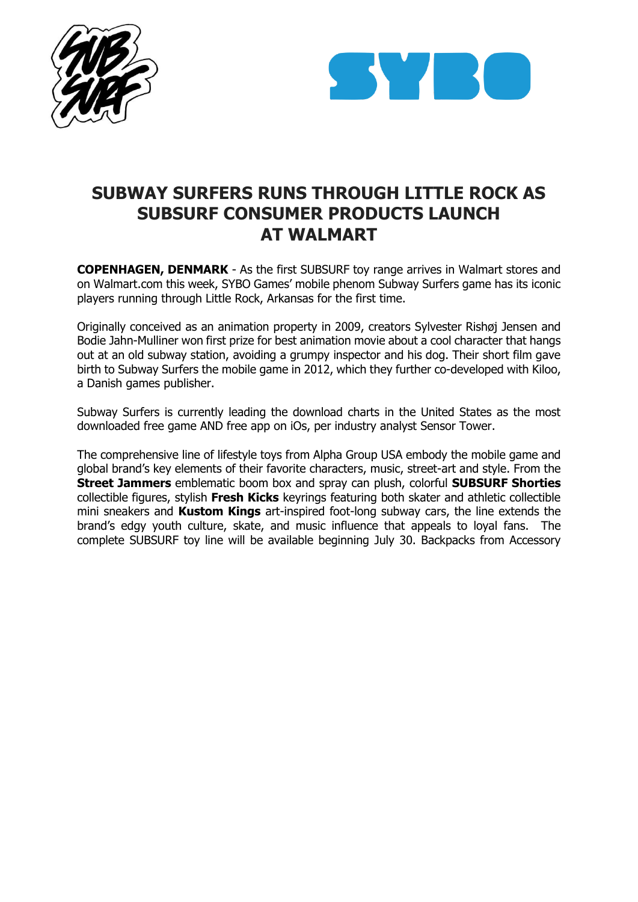



## **SUBWAY SURFERS RUNS THROUGH LITTLE ROCK AS SUBSURF CONSUMER PRODUCTS LAUNCH AT WALMART**

**COPENHAGEN, DENMARK** - As the first SUBSURF toy range arrives in Walmart stores and on Walmart.com this week, SYBO Games' mobile phenom Subway Surfers game has its iconic players running through Little Rock, Arkansas for the first time.

Originally conceived as an animation property in 2009, creators Sylvester Rishøj Jensen and Bodie Jahn-Mulliner won first prize for best animation movie about a cool character that hangs out at an old subway station, avoiding a grumpy inspector and his dog. Their short film gave birth to Subway Surfers the mobile game in 2012, which they further co-developed with Kiloo, a Danish games publisher.

Subway Surfers is currently leading the download charts in the United States as the most downloaded free game AND free app on iOs, per industry analyst Sensor Tower.

The comprehensive line of lifestyle toys from Alpha Group USA embody the mobile game and global brand's key elements of their favorite characters, music, street-art and style. From the **Street Jammers** emblematic boom box and spray can plush, colorful **SUBSURF Shorties**  collectible figures, stylish **Fresh Kicks** keyrings featuring both skater and athletic collectible mini sneakers and **Kustom Kings** art-inspired foot-long subway cars, the line extends the brand's edgy youth culture, skate, and music influence that appeals to loyal fans. The complete SUBSURF toy line will be available beginning July 30. Backpacks from Accessory